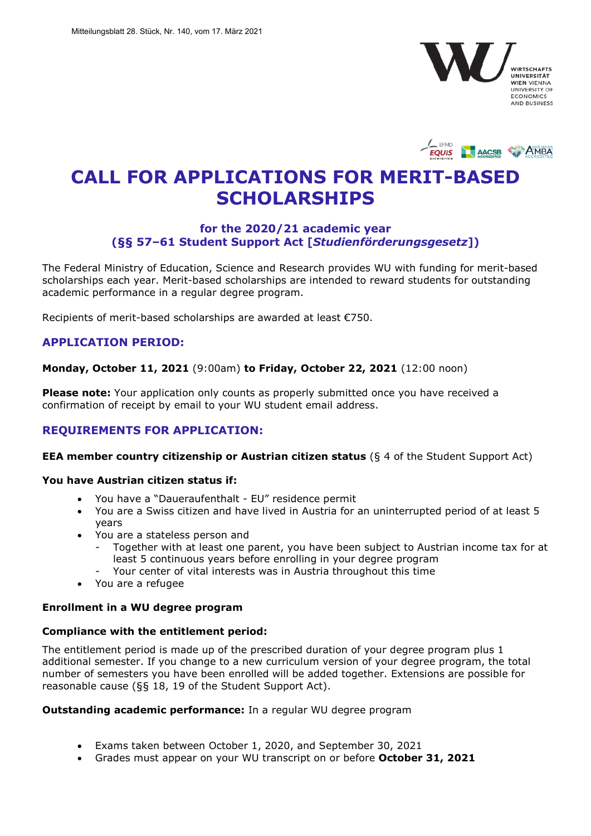



# **CALL FOR APPLICATIONS FOR MERIT-BASED SCHOLARSHIPS**

# **for the 2020/21 academic year (§§ 57–61 Student Support Act [***Studienförderungsgesetz***])**

The Federal Ministry of Education, Science and Research provides WU with funding for merit-based scholarships each year. Merit-based scholarships are intended to reward students for outstanding academic performance in a regular degree program.

Recipients of merit-based scholarships are awarded at least €750.

# **APPLICATION PERIOD:**

#### **Monday, October 11, 2021** (9:00am) **to Friday, October 22, 2021** (12:00 noon)

**Please note:** Your application only counts as properly submitted once you have received a confirmation of receipt by email to your WU student email address.

# **REQUIREMENTS FOR APPLICATION:**

#### **EEA member country citizenship or Austrian citizen status** (§ 4 of the Student Support Act)

## **You have Austrian citizen status if:**

- You have a "Daueraufenthalt EU" residence permit
- You are a Swiss citizen and have lived in Austria for an uninterrupted period of at least 5 years
- You are a stateless person and
	- Together with at least one parent, you have been subject to Austrian income tax for at least 5 continuous years before enrolling in your degree program
	- Your center of vital interests was in Austria throughout this time
- You are a refugee

#### **Enrollment in a WU degree program**

#### **Compliance with the entitlement period:**

The entitlement period is made up of the prescribed duration of your degree program plus 1 additional semester. If you change to a new curriculum version of your degree program, the total number of semesters you have been enrolled will be added together. Extensions are possible for reasonable cause (§§ 18, 19 of the Student Support Act).

#### **Outstanding academic performance:** In a regular WU degree program

- Exams taken between October 1, 2020, and September 30, 2021
- Grades must appear on your WU transcript on or before **October 31, 2021**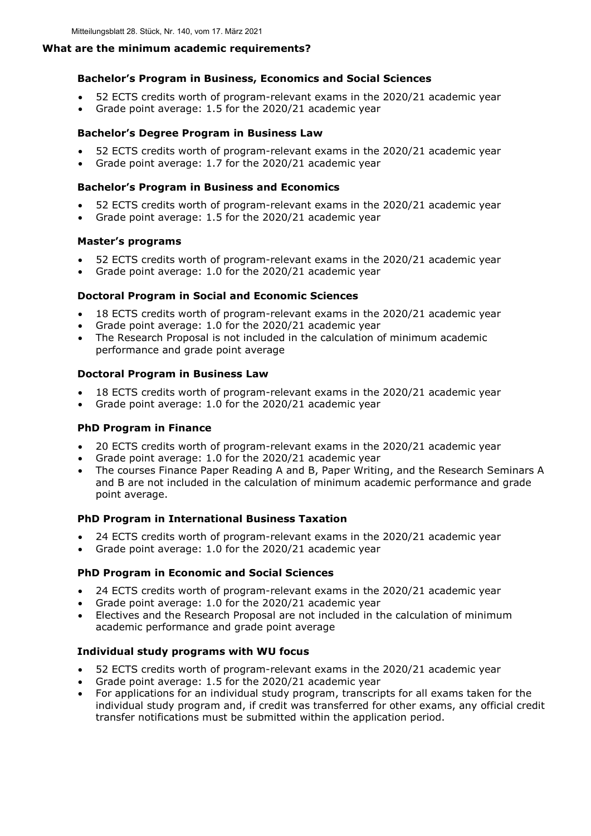## **What are the minimum academic requirements?**

## **Bachelor's Program in Business, Economics and Social Sciences**

- 52 ECTS credits worth of program-relevant exams in the 2020/21 academic year
- Grade point average: 1.5 for the 2020/21 academic year

## **Bachelor's Degree Program in Business Law**

- 52 ECTS credits worth of program-relevant exams in the 2020/21 academic year
- Grade point average: 1.7 for the 2020/21 academic year

## **Bachelor's Program in Business and Economics**

- 52 ECTS credits worth of program-relevant exams in the 2020/21 academic year
- Grade point average: 1.5 for the 2020/21 academic year

## **Master's programs**

- 52 ECTS credits worth of program-relevant exams in the 2020/21 academic year
- Grade point average: 1.0 for the 2020/21 academic year

# **Doctoral Program in Social and Economic Sciences**

- 18 ECTS credits worth of program-relevant exams in the 2020/21 academic year
- Grade point average: 1.0 for the 2020/21 academic year
- The Research Proposal is not included in the calculation of minimum academic performance and grade point average

# **Doctoral Program in Business Law**

- 18 ECTS credits worth of program-relevant exams in the 2020/21 academic year
- Grade point average: 1.0 for the 2020/21 academic year

# **PhD Program in Finance**

- 20 ECTS credits worth of program-relevant exams in the 2020/21 academic year
- Grade point average: 1.0 for the 2020/21 academic year
- The courses Finance Paper Reading A and B, Paper Writing, and the Research Seminars A and B are not included in the calculation of minimum academic performance and grade point average.

# **PhD Program in International Business Taxation**

- 24 ECTS credits worth of program-relevant exams in the 2020/21 academic year
- Grade point average: 1.0 for the 2020/21 academic year

# **PhD Program in Economic and Social Sciences**

- 24 ECTS credits worth of program-relevant exams in the 2020/21 academic year
- Grade point average: 1.0 for the 2020/21 academic year
- Electives and the Research Proposal are not included in the calculation of minimum academic performance and grade point average

# **Individual study programs with WU focus**

- 52 ECTS credits worth of program-relevant exams in the 2020/21 academic year
- Grade point average: 1.5 for the 2020/21 academic year
- For applications for an individual study program, transcripts for all exams taken for the individual study program and, if credit was transferred for other exams, any official credit transfer notifications must be submitted within the application period.